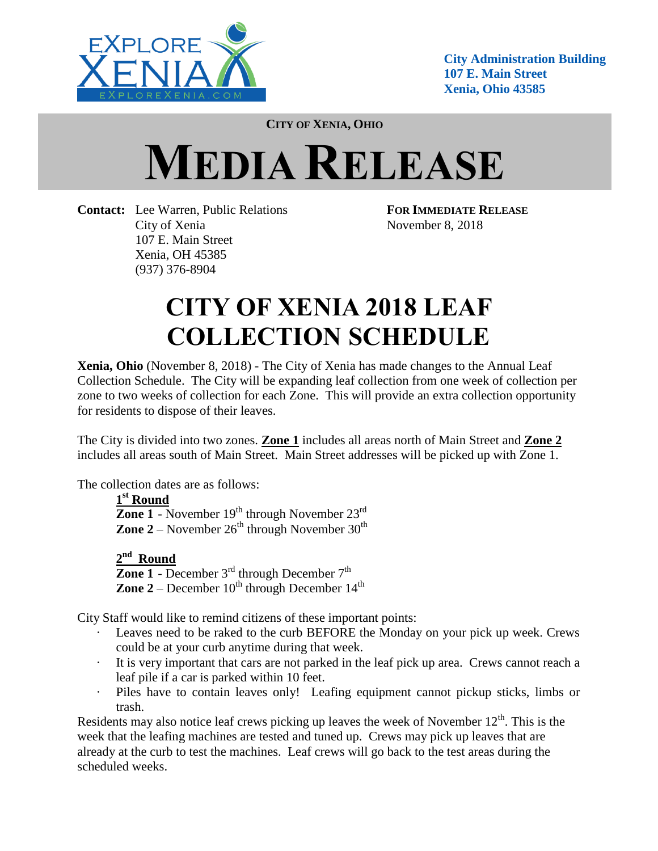

**City Administration Building 107 E. Main Street Xenia, Ohio 43585**

**CITY OF XENIA, OHIO**

## **MEDIA RELEASE**

**Contact:** Lee Warren, Public Relations **FOR IMMEDIATE RELEASE** City of Xenia November 8, 2018 107 E. Main Street Xenia, OH 45385 (937) 376-8904

## **CITY OF XENIA 2018 LEAF COLLECTION SCHEDULE**

**Xenia, Ohio** (November 8, 2018) - The City of Xenia has made changes to the Annual Leaf Collection Schedule. The City will be expanding leaf collection from one week of collection per zone to two weeks of collection for each Zone. This will provide an extra collection opportunity for residents to dispose of their leaves.

The City is divided into two zones. **Zone 1** includes all areas north of Main Street and **Zone 2** includes all areas south of Main Street. Main Street addresses will be picked up with Zone 1.

The collection dates are as follows:

**1 st Round Zone 1** - November  $19<sup>th</sup>$  through November  $23<sup>rd</sup>$ **Zone 2** – November  $26^{th}$  through November  $30^{th}$ 

**2 nd Round Zone 1** - December  $3<sup>rd</sup>$  through December  $7<sup>th</sup>$ **Zone 2** – December  $10^{th}$  through December  $14^{th}$ 

City Staff would like to remind citizens of these important points:

- Leaves need to be raked to the curb BEFORE the Monday on your pick up week. Crews could be at your curb anytime during that week.
- · It is very important that cars are not parked in the leaf pick up area. Crews cannot reach a leaf pile if a car is parked within 10 feet.
- Piles have to contain leaves only! Leafing equipment cannot pickup sticks, limbs or trash.

Residents may also notice leaf crews picking up leaves the week of November  $12<sup>th</sup>$ . This is the week that the leafing machines are tested and tuned up. Crews may pick up leaves that are already at the curb to test the machines. Leaf crews will go back to the test areas during the scheduled weeks.